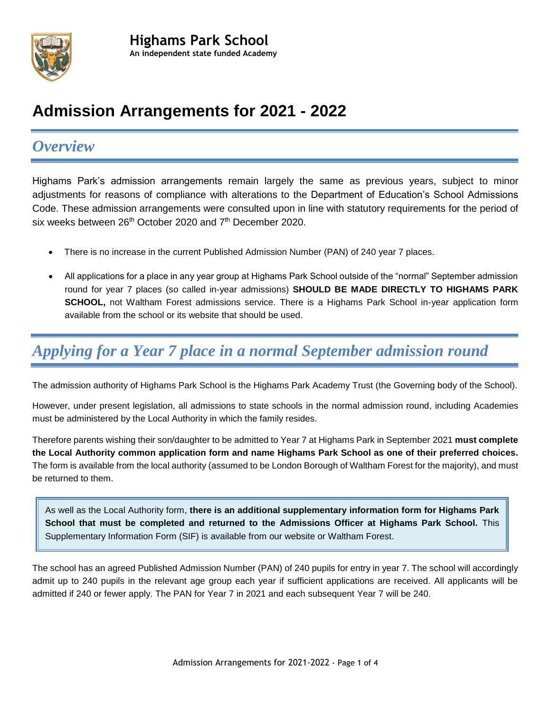

### **Admission Arrangements for 2021 - 2022**

### *Overview*

Highams Park's admission arrangements remain largely the same as previous years, subject to minor adjustments for reasons of compliance with alterations to the Department of Education's School Admissions Code. These admission arrangements were consulted upon in line with statutory requirements for the period of six weeks between 26<sup>th</sup> October 2020 and 7<sup>th</sup> December 2020.

- There is no increase in the current Published Admission Number (PAN) of 240 year 7 places.
- All applications for a place in any year group at Highams Park School outside of the "normal" September admission round for year 7 places (so called in-year admissions) **SHOULD BE MADE DIRECTLY TO HIGHAMS PARK SCHOOL,** not Waltham Forest admissions service. There is a Highams Park School in-year application form available from the school or its website that should be used.

# *Applying for a Year 7 place in a normal September admission round*

The admission authority of Highams Park School is the Highams Park Academy Trust (the Governing body of the School).

However, under present legislation, all admissions to state schools in the normal admission round, including Academies must be administered by the Local Authority in which the family resides.

Therefore parents wishing their son/daughter to be admitted to Year 7 at Highams Park in September 2021 **must complete the Local Authority common application form and name Highams Park School as one of their preferred choices.** The form is available from the local authority (assumed to be London Borough of Waltham Forest for the majority), and must be returned to them.

As well as the Local Authority form, **there is an additional supplementary information form for Highams Park School that must be completed and returned to the Admissions Officer at Highams Park School.** This Supplementary Information Form (SIF) is available from our website or Waltham Forest.

The school has an agreed Published Admission Number (PAN) of 240 pupils for entry in year 7. The school will accordingly admit up to 240 pupils in the relevant age group each year if sufficient applications are received. All applicants will be admitted if 240 or fewer apply. The PAN for Year 7 in 2021 and each subsequent Year 7 will be 240.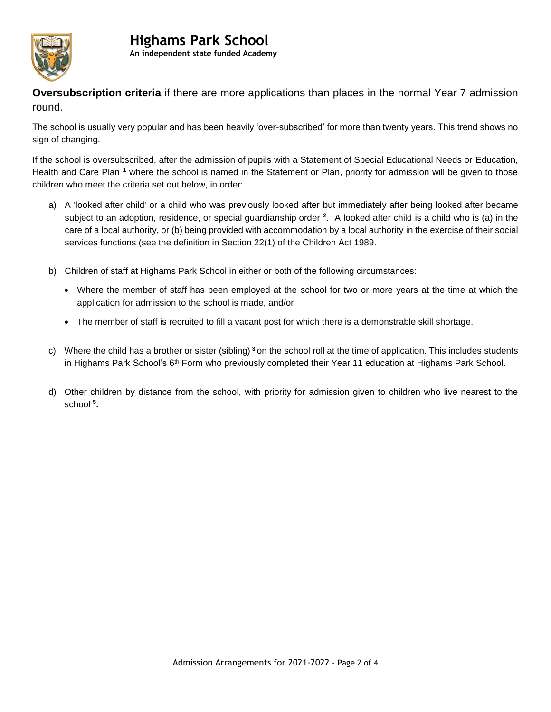

**Oversubscription criteria** if there are more applications than places in the normal Year 7 admission round.

The school is usually very popular and has been heavily 'over-subscribed' for more than twenty years. This trend shows no sign of changing.

If the school is oversubscribed, after the admission of pupils with a Statement of Special Educational Needs or Education, Health and Care Plan **<sup>1</sup>** where the school is named in the Statement or Plan, priority for admission will be given to those children who meet the criteria set out below, in order:

- a) A 'looked after child' or a child who was previously looked after but immediately after being looked after became subject to an adoption, residence, or special guardianship order **<sup>2</sup>** . A looked after child is a child who is (a) in the care of a local authority, or (b) being provided with accommodation by a local authority in the exercise of their social services functions (see the definition in Section 22(1) of the Children Act 1989.
- b) Children of staff at Highams Park School in either or both of the following circumstances:
	- Where the member of staff has been employed at the school for two or more years at the time at which the application for admission to the school is made, and/or
	- The member of staff is recruited to fill a vacant post for which there is a demonstrable skill shortage.
- c) Where the child has a brother or sister (sibling) **<sup>3</sup>** on the school roll at the time of application. This includes students in Highams Park School's  $6<sup>th</sup>$  Form who previously completed their Year 11 education at Highams Park School.
- d) Other children by distance from the school, with priority for admission given to children who live nearest to the school **<sup>5</sup> .**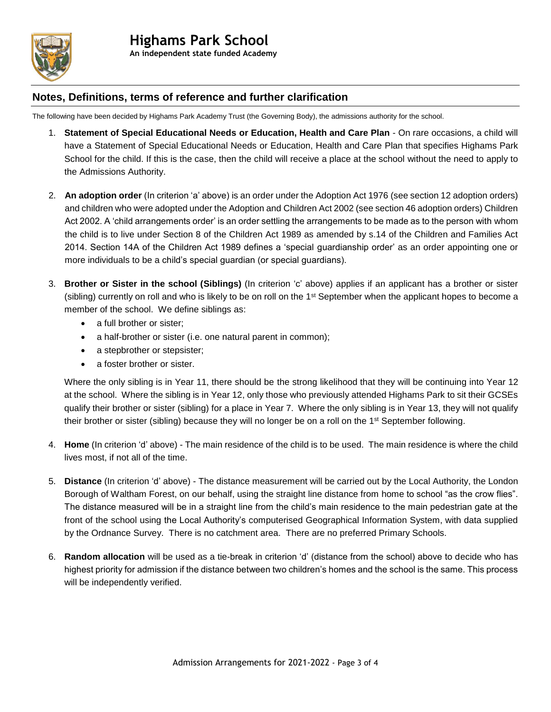

#### **Notes, Definitions, terms of reference and further clarification**

The following have been decided by Highams Park Academy Trust (the Governing Body), the admissions authority for the school.

- 1. **Statement of Special Educational Needs or Education, Health and Care Plan** On rare occasions, a child will have a Statement of Special Educational Needs or Education, Health and Care Plan that specifies Highams Park School for the child. If this is the case, then the child will receive a place at the school without the need to apply to the Admissions Authority.
- 2. **An adoption order** (In criterion 'a' above) is an order under the Adoption Act 1976 (see section 12 adoption orders) and children who were adopted under the Adoption and Children Act 2002 (see section 46 adoption orders) Children Act 2002. A 'child arrangements order' is an order settling the arrangements to be made as to the person with whom the child is to live under Section 8 of the Children Act 1989 as amended by s.14 of the Children and Families Act 2014. Section 14A of the Children Act 1989 defines a 'special guardianship order' as an order appointing one or more individuals to be a child's special guardian (or special guardians).
- 3. **Brother or Sister in the school (Siblings)** (In criterion 'c' above) applies if an applicant has a brother or sister (sibling) currently on roll and who is likely to be on roll on the 1<sup>st</sup> September when the applicant hopes to become a member of the school. We define siblings as:
	- a full brother or sister:
	- a half-brother or sister (i.e. one natural parent in common);
	- a stepbrother or stepsister;
	- a foster brother or sister

Where the only sibling is in Year 11, there should be the strong likelihood that they will be continuing into Year 12 at the school. Where the sibling is in Year 12, only those who previously attended Highams Park to sit their GCSEs qualify their brother or sister (sibling) for a place in Year 7. Where the only sibling is in Year 13, they will not qualify their brother or sister (sibling) because they will no longer be on a roll on the 1st September following.

- 4. **Home** (In criterion 'd' above) The main residence of the child is to be used. The main residence is where the child lives most, if not all of the time.
- 5. **Distance** (In criterion 'd' above) The distance measurement will be carried out by the Local Authority, the London Borough of Waltham Forest, on our behalf, using the straight line distance from home to school "as the crow flies". The distance measured will be in a straight line from the child's main residence to the main pedestrian gate at the front of the school using the Local Authority's computerised Geographical Information System, with data supplied by the Ordnance Survey. There is no catchment area. There are no preferred Primary Schools.
- 6. **Random allocation** will be used as a tie-break in criterion 'd' (distance from the school) above to decide who has highest priority for admission if the distance between two children's homes and the school is the same. This process will be independently verified.